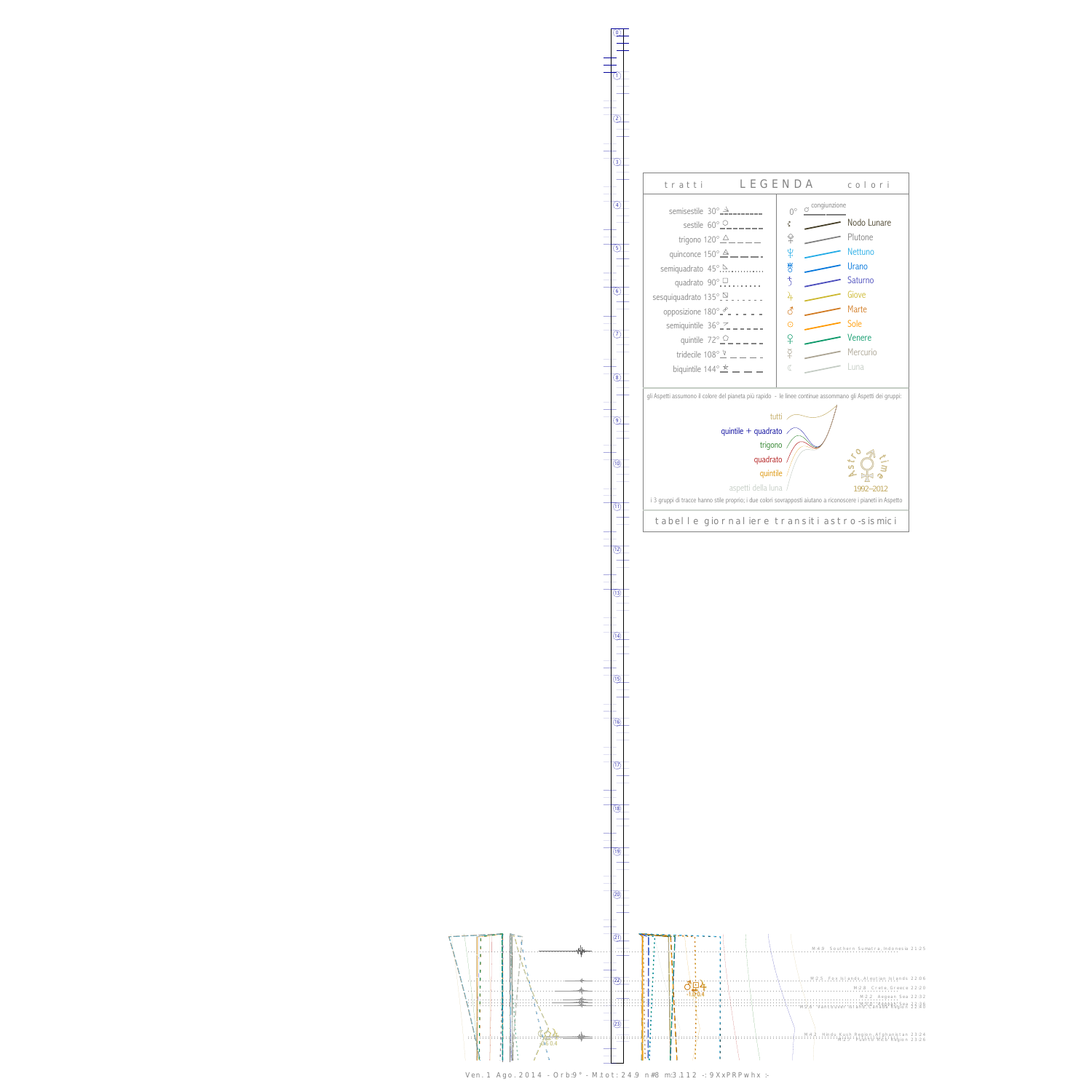0

1



13



Ven. 1 Ago. 2014 - Orb:9° - M.tot: 24.9 n#8 m:3.112 -: 9XxPRPwhx :-